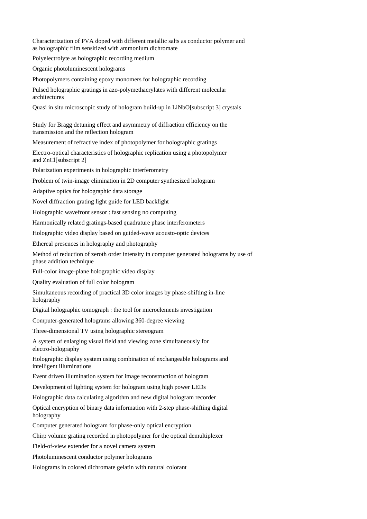Characterization of PVA doped with different metallic salts as conductor polymer and as holographic film sensitized with ammonium dichromate

Polyelectrolyte as holographic recording medium

Organic photoluminescent holograms

Photopolymers containing epoxy monomers for holographic recording

Pulsed holographic gratings in azo-polymethacrylates with different molecular architectures

Quasi in situ microscopic study of hologram build-up in LiNbO[subscript 3] crystals

Study for Bragg detuning effect and asymmetry of diffraction efficiency on the transmission and the reflection hologram

Measurement of refractive index of photopolymer for holographic gratings

Electro-optical characteristics of holographic replication using a photopolymer and ZnCl[subscript 2]

Polarization experiments in holographic interferometry

Problem of twin-image elimination in 2D computer synthesized hologram

Adaptive optics for holographic data storage

Novel diffraction grating light guide for LED backlight

Holographic wavefront sensor : fast sensing no computing

Harmonically related gratings-based quadrature phase interferometers

Holographic video display based on guided-wave acousto-optic devices

Ethereal presences in holography and photography

Method of reduction of zeroth order intensity in computer generated holograms by use of phase addition technique

Full-color image-plane holographic video display

Quality evaluation of full color hologram

Simultaneous recording of practical 3D color images by phase-shifting in-line holography

Digital holographic tomograph : the tool for microelements investigation

Computer-generated holograms allowing 360-degree viewing

Three-dimensional TV using holographic stereogram

A system of enlarging visual field and viewing zone simultaneously for electro-holography

Holographic display system using combination of exchangeable holograms and intelligent illuminations

Event driven illumination system for image reconstruction of hologram

Development of lighting system for hologram using high power LEDs

Holographic data calculating algorithm and new digital hologram recorder

Optical encryption of binary data information with 2-step phase-shifting digital holography

Computer generated hologram for phase-only optical encryption

Chirp volume grating recorded in photopolymer for the optical demultiplexer

Field-of-view extender for a novel camera system

Photoluminescent conductor polymer holograms

Holograms in colored dichromate gelatin with natural colorant